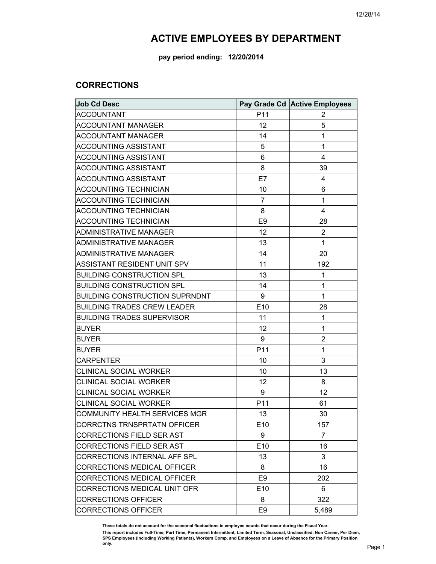**pay period ending: 12/20/2014**

#### **CORRECTIONS**

| <b>Job Cd Desc</b>                    |                 | Pay Grade Cd Active Employees |
|---------------------------------------|-----------------|-------------------------------|
| <b>ACCOUNTANT</b>                     | P11             | 2                             |
| <b>ACCOUNTANT MANAGER</b>             | 12              | 5                             |
| <b>ACCOUNTANT MANAGER</b>             | 14              | $\mathbf{1}$                  |
| <b>ACCOUNTING ASSISTANT</b>           | 5               | 1                             |
| <b>ACCOUNTING ASSISTANT</b>           | 6               | $\overline{4}$                |
| <b>ACCOUNTING ASSISTANT</b>           | 8               | 39                            |
| <b>ACCOUNTING ASSISTANT</b>           | E7              | 4                             |
| ACCOUNTING TECHNICIAN                 | 10              | 6                             |
| ACCOUNTING TECHNICIAN                 | $\overline{7}$  | $\mathbf{1}$                  |
| <b>ACCOUNTING TECHNICIAN</b>          | 8               | 4                             |
| <b>ACCOUNTING TECHNICIAN</b>          | E <sub>9</sub>  | 28                            |
| ADMINISTRATIVE MANAGER                | 12              | 2                             |
| ADMINISTRATIVE MANAGER                | 13              | $\mathbf{1}$                  |
| <b>ADMINISTRATIVE MANAGER</b>         | 14              | 20                            |
| ASSISTANT RESIDENT UNIT SPV           | 11              | 192                           |
| <b>BUILDING CONSTRUCTION SPL</b>      | 13              | 1                             |
| <b>BUILDING CONSTRUCTION SPL</b>      | 14              | 1                             |
| <b>BUILDING CONSTRUCTION SUPRNDNT</b> | 9               | $\mathbf{1}$                  |
| <b>BUILDING TRADES CREW LEADER</b>    | E10             | 28                            |
| <b>BUILDING TRADES SUPERVISOR</b>     | 11              | 1                             |
| <b>BUYER</b>                          | 12              | 1                             |
| <b>BUYER</b>                          | 9               | $\overline{2}$                |
| <b>BUYER</b>                          | P11             | 1                             |
| <b>CARPENTER</b>                      | 10              | 3                             |
| <b>CLINICAL SOCIAL WORKER</b>         | 10              | 13                            |
| CLINICAL SOCIAL WORKER                | 12              | 8                             |
| <b>CLINICAL SOCIAL WORKER</b>         | 9               | 12                            |
| <b>CLINICAL SOCIAL WORKER</b>         | P11             | 61                            |
| COMMUNITY HEALTH SERVICES MGR         | 13              | 30                            |
| <b>CORRCTNS TRNSPRTATN OFFICER</b>    | E <sub>10</sub> | 157                           |
| <b>CORRECTIONS FIELD SER AST</b>      | 9               | $\overline{7}$                |
| <b>CORRECTIONS FIELD SER AST</b>      | E10             | 16                            |
| CORRECTIONS INTERNAL AFF SPL          | 13              | 3                             |
| <b>CORRECTIONS MEDICAL OFFICER</b>    | 8               | 16                            |
| <b>CORRECTIONS MEDICAL OFFICER</b>    | E <sub>9</sub>  | 202                           |
| CORRECTIONS MEDICAL UNIT OFR          | E <sub>10</sub> | 6                             |
| <b>CORRECTIONS OFFICER</b>            | 8               | 322                           |
| <b>CORRECTIONS OFFICER</b>            | E <sub>9</sub>  | 5,489                         |

**These totals do not account for the seasonal fluctuations in employee counts that occur during the Fiscal Year.** 

This report includes Full-Time, Part Time, Permanent Intermittent, Limited Term, Seasonal, Unclassified, Non Career, Per Diem,<br>SPS Employees (including Working Patients), Workers Comp, and Employees on a Leave of Absence f **only.**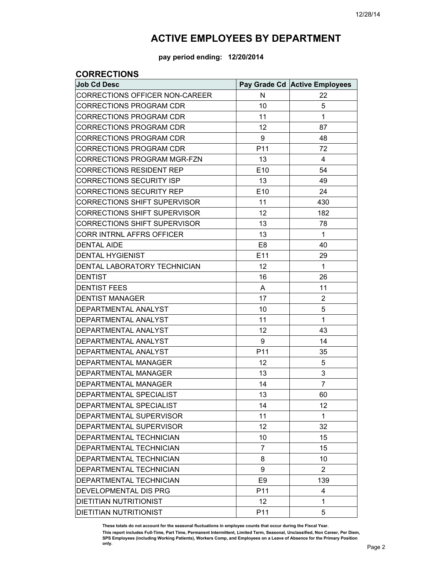**pay period ending: 12/20/2014**

### **CORRECTIONS**

| <b>Job Cd Desc</b>                    |                 | Pay Grade Cd Active Employees |
|---------------------------------------|-----------------|-------------------------------|
| <b>CORRECTIONS OFFICER NON-CAREER</b> | N               | 22                            |
| CORRECTIONS PROGRAM CDR               | 10              | 5                             |
| <b>CORRECTIONS PROGRAM CDR</b>        | 11              | 1                             |
| <b>CORRECTIONS PROGRAM CDR</b>        | 12              | 87                            |
| <b>CORRECTIONS PROGRAM CDR</b>        | 9               | 48                            |
| <b>CORRECTIONS PROGRAM CDR</b>        | P11             | 72                            |
| CORRECTIONS PROGRAM MGR-FZN           | 13              | 4                             |
| <b>CORRECTIONS RESIDENT REP</b>       | E10             | 54                            |
| <b>CORRECTIONS SECURITY ISP</b>       | 13              | 49                            |
| <b>CORRECTIONS SECURITY REP</b>       | E10             | 24                            |
| <b>CORRECTIONS SHIFT SUPERVISOR</b>   | 11              | 430                           |
| CORRECTIONS SHIFT SUPERVISOR          | 12              | 182                           |
| <b>CORRECTIONS SHIFT SUPERVISOR</b>   | 13              | 78                            |
| CORR INTRNL AFFRS OFFICER             | 13              | 1                             |
| <b>DENTAL AIDE</b>                    | E <sub>8</sub>  | 40                            |
| <b>DENTAL HYGIENIST</b>               | E11             | 29                            |
| DENTAL LABORATORY TECHNICIAN          | 12              | 1                             |
| <b>DENTIST</b>                        | 16              | 26                            |
| <b>DENTIST FEES</b>                   | A               | 11                            |
| <b>DENTIST MANAGER</b>                | 17              | $\overline{2}$                |
| DEPARTMENTAL ANALYST                  | 10              | 5                             |
| DEPARTMENTAL ANALYST                  | 11              | 1                             |
| DEPARTMENTAL ANALYST                  | 12              | 43                            |
| DEPARTMENTAL ANALYST                  | 9               | 14                            |
| DEPARTMENTAL ANALYST                  | P11             | 35                            |
| DEPARTMENTAL MANAGER                  | 12              | 5                             |
| DEPARTMENTAL MANAGER                  | 13              | 3                             |
| DEPARTMENTAL MANAGER                  | 14              | 7                             |
| DEPARTMENTAL SPECIALIST               | 13              | 60                            |
| DEPARTMENTAL SPECIALIST               | 14              | 12                            |
| DEPARTMENTAL SUPERVISOR               | 11              | 1                             |
| DEPARTMENTAL SUPERVISOR               | 12              | 32                            |
| DEPARTMENTAL TECHNICIAN               | 10              | 15                            |
| DEPARTMENTAL TECHNICIAN               | $\overline{7}$  | 15                            |
| DEPARTMENTAL TECHNICIAN               | 8               | 10                            |
| DEPARTMENTAL TECHNICIAN               | 9               | $\overline{2}$                |
| DEPARTMENTAL TECHNICIAN               | E <sub>9</sub>  | 139                           |
| DEVELOPMENTAL DIS PRG                 | P <sub>11</sub> | 4                             |
| <b>DIETITIAN NUTRITIONIST</b>         | 12              | 1                             |
| DIETITIAN NUTRITIONIST                | P11             | 5                             |

**These totals do not account for the seasonal fluctuations in employee counts that occur during the Fiscal Year.** 

This report includes Full-Time, Part Time, Permanent Intermittent, Limited Term, Seasonal, Unclassified, Non Career, Per Diem,<br>SPS Employees (including Working Patients), Workers Comp, and Employees on a Leave of Absence f **only.**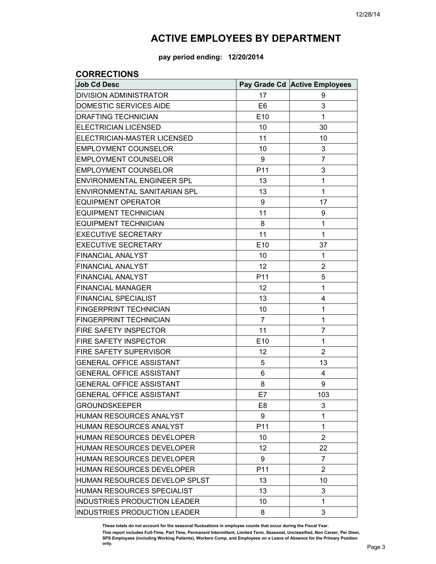**pay period ending: 12/20/2014**

#### **CORRECTIONS**

| <b>Job Cd Desc</b>                |                 | Pay Grade Cd Active Employees |
|-----------------------------------|-----------------|-------------------------------|
| <b>DIVISION ADMINISTRATOR</b>     | 17              | 9                             |
| DOMESTIC SERVICES AIDE            | E <sub>6</sub>  | 3                             |
| <b>DRAFTING TECHNICIAN</b>        | E10             | 1                             |
| <b>ELECTRICIAN LICENSED</b>       | 10              | 30                            |
| ELECTRICIAN-MASTER LICENSED       | 11              | 10                            |
| <b>EMPLOYMENT COUNSELOR</b>       | 10              | 3                             |
| <b>EMPLOYMENT COUNSELOR</b>       | 9               | 7                             |
| <b>EMPLOYMENT COUNSELOR</b>       | P11             | 3                             |
| <b>ENVIRONMENTAL ENGINEER SPL</b> | 13              | 1                             |
| ENVIRONMENTAL SANITARIAN SPL      | 13              | 1                             |
| <b>EQUIPMENT OPERATOR</b>         | 9               | 17                            |
| <b>EQUIPMENT TECHNICIAN</b>       | 11              | 9                             |
| <b>EQUIPMENT TECHNICIAN</b>       | 8               | 1                             |
| <b>EXECUTIVE SECRETARY</b>        | 11              | 1                             |
| <b>EXECUTIVE SECRETARY</b>        | E10             | 37                            |
| <b>FINANCIAL ANALYST</b>          | 10              | 1                             |
| <b>FINANCIAL ANALYST</b>          | 12              | 2                             |
| <b>FINANCIAL ANALYST</b>          | P <sub>11</sub> | 5                             |
| <b>FINANCIAL MANAGER</b>          | 12              | 1                             |
| <b>FINANCIAL SPECIALIST</b>       | 13              | 4                             |
| FINGERPRINT TECHNICIAN            | 10              | 1                             |
| <b>FINGERPRINT TECHNICIAN</b>     | 7               | 1                             |
| FIRE SAFETY INSPECTOR             | 11              | 7                             |
| FIRE SAFETY INSPECTOR             | E10             | 1                             |
| FIRE SAFETY SUPERVISOR            | 12              | 2                             |
| <b>GENERAL OFFICE ASSISTANT</b>   | 5               | 13                            |
| <b>GENERAL OFFICE ASSISTANT</b>   | 6               | 4                             |
| <b>GENERAL OFFICE ASSISTANT</b>   | 8               | 9                             |
| <b>GENERAL OFFICE ASSISTANT</b>   | E7              | 103                           |
| <b>GROUNDSKEEPER</b>              | E8              | 3                             |
| HUMAN RESOURCES ANALYST           | 9               | 1                             |
| HUMAN RESOURCES ANALYST           | P11             | 1                             |
| HUMAN RESOURCES DEVELOPER         | 10              | 2                             |
| HUMAN RESOURCES DEVELOPER         | 12              | 22                            |
| HUMAN RESOURCES DEVELOPER         | 9               | 7                             |
| HUMAN RESOURCES DEVELOPER         | P11             | $\overline{2}$                |
| HUMAN RESOURCES DEVELOP SPLST     | 13              | 10                            |
| HUMAN RESOURCES SPECIALIST        | 13              | 3                             |
| INDUSTRIES PRODUCTION LEADER      | 10              | 1                             |
| INDUSTRIES PRODUCTION LEADER      | 8               | 3                             |

**These totals do not account for the seasonal fluctuations in employee counts that occur during the Fiscal Year.**  This report includes Full-Time, Part Time, Permanent Intermittent, Limited Term, Seasonal, Unclassified, Non Career, Per Diem,<br>SPS Employees (including Working Patients), Workers Comp, and Employees on a Leave of Absence f **only.**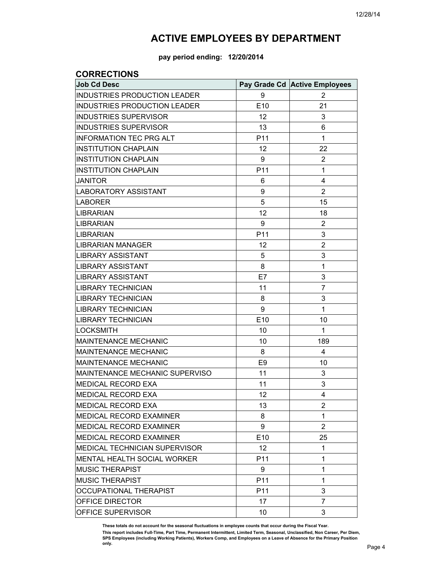**pay period ending: 12/20/2014**

### **CORRECTIONS**

| <b>Job Cd Desc</b>                   |                 | Pay Grade Cd Active Employees |
|--------------------------------------|-----------------|-------------------------------|
| INDUSTRIES PRODUCTION LEADER         | 9               | 2                             |
| <b>INDUSTRIES PRODUCTION LEADER</b>  | E <sub>10</sub> | 21                            |
| <b>INDUSTRIES SUPERVISOR</b>         | 12              | 3                             |
| <b>INDUSTRIES SUPERVISOR</b>         | 13              | 6                             |
| <b>INFORMATION TEC PRG ALT</b>       | P <sub>11</sub> | 1                             |
| <b>INSTITUTION CHAPLAIN</b>          | 12              | 22                            |
| <b>INSTITUTION CHAPLAIN</b>          | 9               | 2                             |
| <b>INSTITUTION CHAPLAIN</b>          | P <sub>11</sub> | 1                             |
| <b>JANITOR</b>                       | 6               | 4                             |
| <b>LABORATORY ASSISTANT</b>          | 9               | $\overline{2}$                |
| LABORER                              | 5               | 15                            |
| <b>LIBRARIAN</b>                     | 12              | 18                            |
| LIBRARIAN                            | 9               | 2                             |
| LIBRARIAN                            | P <sub>11</sub> | 3                             |
| LIBRARIAN MANAGER                    | 12              | $\overline{2}$                |
| LIBRARY ASSISTANT                    | 5               | 3                             |
| LIBRARY ASSISTANT                    | 8               | 1                             |
| LIBRARY ASSISTANT                    | E7              | 3                             |
| LIBRARY TECHNICIAN                   | 11              | 7                             |
| LIBRARY TECHNICIAN                   | 8               | 3                             |
| LIBRARY TECHNICIAN                   | 9               | 1                             |
| <b>LIBRARY TECHNICIAN</b>            | E10             | 10                            |
| LOCKSMITH                            | 10              | 1                             |
| <b>MAINTENANCE MECHANIC</b>          | 10              | 189                           |
| <b>MAINTENANCE MECHANIC</b>          | 8               | 4                             |
| <b>MAINTENANCE MECHANIC</b>          | E9              | 10                            |
| MAINTENANCE MECHANIC SUPERVISO       | 11              | 3                             |
| <b>MEDICAL RECORD EXA</b>            | 11              | 3                             |
| MEDICAL RECORD EXA                   | 12              | $\overline{4}$                |
| MEDICAL RECORD EXA                   | 13              | 2                             |
| <b>MEDICAL RECORD EXAMINER</b>       | 8               | 1                             |
| MEDICAL RECORD EXAMINER              | 9               | $\overline{2}$                |
| <b>MEDICAL RECORD EXAMINER</b>       | E <sub>10</sub> | 25                            |
| <b>MEDICAL TECHNICIAN SUPERVISOR</b> | 12              | 1                             |
| <b>MENTAL HEALTH SOCIAL WORKER</b>   | P <sub>11</sub> | 1                             |
| <b>MUSIC THERAPIST</b>               | 9               | 1                             |
| <b>MUSIC THERAPIST</b>               | P <sub>11</sub> | 1                             |
| OCCUPATIONAL THERAPIST               | P <sub>11</sub> | 3                             |
| OFFICE DIRECTOR                      | 17              | 7                             |
| OFFICE SUPERVISOR                    | 10              | 3                             |

**These totals do not account for the seasonal fluctuations in employee counts that occur during the Fiscal Year.** 

**This report includes Full-Time, Part Time, Permanent Intermittent, Limited Term, Seasonal, Unclassified, Non Career, Per Diem, SPS Employees (including Working Patients), Workers Comp, and Employees on a Leave of Absence for the Primary Position only.**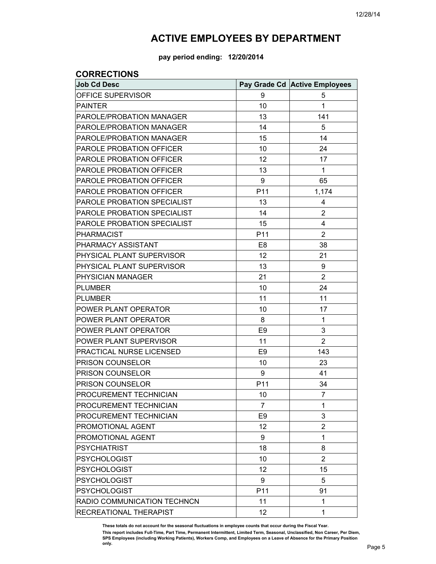**pay period ending: 12/20/2014**

### **CORRECTIONS**

| <b>Job Cd Desc</b>          |                 | Pay Grade Cd Active Employees |
|-----------------------------|-----------------|-------------------------------|
| OFFICE SUPERVISOR           | 9               | 5                             |
| <b>PAINTER</b>              | 10              | 1                             |
| PAROLE/PROBATION MANAGER    | 13              | 141                           |
| PAROLE/PROBATION MANAGER    | 14              | 5                             |
| PAROLE/PROBATION MANAGER    | 15              | 14                            |
| PAROLE PROBATION OFFICER    | 10              | 24                            |
| PAROLE PROBATION OFFICER    | 12              | 17                            |
| PAROLE PROBATION OFFICER    | 13              | 1                             |
| PAROLE PROBATION OFFICER    | 9               | 65                            |
| PAROLE PROBATION OFFICER    | P11             | 1,174                         |
| PAROLE PROBATION SPECIALIST | 13              | 4                             |
| PAROLE PROBATION SPECIALIST | 14              | 2                             |
| PAROLE PROBATION SPECIALIST | 15              | 4                             |
| <b>PHARMACIST</b>           | P11             | $\overline{2}$                |
| PHARMACY ASSISTANT          | E <sub>8</sub>  | 38                            |
| PHYSICAL PLANT SUPERVISOR   | 12              | 21                            |
| PHYSICAL PLANT SUPERVISOR   | 13              | 9                             |
| PHYSICIAN MANAGER           | 21              | $\overline{2}$                |
| <b>PLUMBER</b>              | 10              | 24                            |
| <b>PLUMBER</b>              | 11              | 11                            |
| POWER PLANT OPERATOR        | 10              | 17                            |
| POWER PLANT OPERATOR        | 8               | 1                             |
| POWER PLANT OPERATOR        | E <sub>9</sub>  | 3                             |
| POWER PLANT SUPERVISOR      | 11              | $\overline{2}$                |
| PRACTICAL NURSE LICENSED    | E <sub>9</sub>  | 143                           |
| PRISON COUNSELOR            | 10              | 23                            |
| PRISON COUNSELOR            | 9               | 41                            |
| PRISON COUNSELOR            | P11             | 34                            |
| PROCUREMENT TECHNICIAN      | 10              | $\overline{7}$                |
| PROCUREMENT TECHNICIAN      | 7               | 1                             |
| PROCUREMENT TECHNICIAN      | E <sub>9</sub>  | 3                             |
| PROMOTIONAL AGENT           | 12              | $\overline{2}$                |
| PROMOTIONAL AGENT           | 9               | 1                             |
| <b>PSYCHIATRIST</b>         | 18              | 8                             |
| <b>PSYCHOLOGIST</b>         | 10              | $\overline{2}$                |
| <b>PSYCHOLOGIST</b>         | 12              | 15                            |
| <b>PSYCHOLOGIST</b>         | 9               | 5                             |
| <b>PSYCHOLOGIST</b>         | P <sub>11</sub> | 91                            |
| RADIO COMMUNICATION TECHNCN | 11              | 1                             |
| RECREATIONAL THERAPIST      | 12              | 1                             |

**These totals do not account for the seasonal fluctuations in employee counts that occur during the Fiscal Year.**  This report includes Full-Time, Part Time, Permanent Intermittent, Limited Term, Seasonal, Unclassified, Non Career, Per Diem,<br>SPS Employees (including Working Patients), Workers Comp, and Employees on a Leave of Absence f **only.**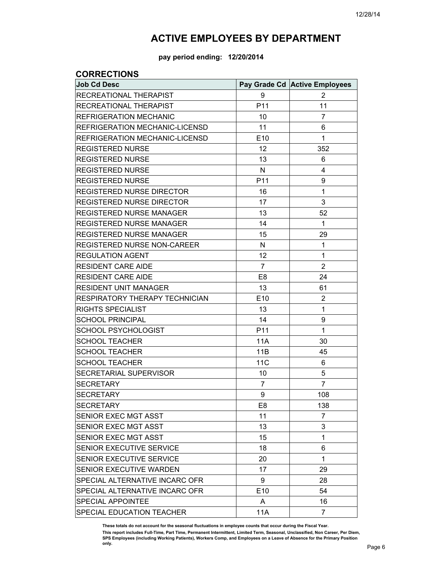**pay period ending: 12/20/2014**

### **CORRECTIONS**

| <b>Job Cd Desc</b>                 |                 | Pay Grade Cd Active Employees |
|------------------------------------|-----------------|-------------------------------|
| RECREATIONAL THERAPIST             | 9               | 2                             |
| RECREATIONAL THERAPIST             | P11             | 11                            |
| REFRIGERATION MECHANIC             | 10              | $\overline{7}$                |
| REFRIGERATION MECHANIC-LICENSD     | 11              | 6                             |
| REFRIGERATION MECHANIC-LICENSD     | E10             | 1                             |
| <b>REGISTERED NURSE</b>            | 12              | 352                           |
| <b>REGISTERED NURSE</b>            | 13              | 6                             |
| <b>REGISTERED NURSE</b>            | N               | 4                             |
| <b>REGISTERED NURSE</b>            | P <sub>11</sub> | 9                             |
| REGISTERED NURSE DIRECTOR          | 16              | 1                             |
| <b>REGISTERED NURSE DIRECTOR</b>   | 17              | 3                             |
| <b>REGISTERED NURSE MANAGER</b>    | 13              | 52                            |
| <b>REGISTERED NURSE MANAGER</b>    | 14              | 1                             |
| REGISTERED NURSE MANAGER           | 15              | 29                            |
| <b>REGISTERED NURSE NON-CAREER</b> | N               | 1                             |
| <b>REGULATION AGENT</b>            | 12              | 1                             |
| <b>RESIDENT CARE AIDE</b>          | $\overline{7}$  | $\overline{2}$                |
| <b>RESIDENT CARE AIDE</b>          | E <sub>8</sub>  | 24                            |
| <b>RESIDENT UNIT MANAGER</b>       | 13              | 61                            |
| RESPIRATORY THERAPY TECHNICIAN     | E10             | 2                             |
| <b>RIGHTS SPECIALIST</b>           | 13              | 1                             |
| <b>SCHOOL PRINCIPAL</b>            | 14              | 9                             |
| <b>SCHOOL PSYCHOLOGIST</b>         | P11             | 1                             |
| <b>SCHOOL TEACHER</b>              | 11A             | 30                            |
| <b>SCHOOL TEACHER</b>              | 11B             | 45                            |
| <b>SCHOOL TEACHER</b>              | <b>11C</b>      | 6                             |
| SECRETARIAL SUPERVISOR             | 10              | 5                             |
| <b>SECRETARY</b>                   | 7               | $\overline{7}$                |
| <b>SECRETARY</b>                   | 9               | 108                           |
| <b>SECRETARY</b>                   | E <sub>8</sub>  | 138                           |
| <b>SENIOR EXEC MGT ASST</b>        | 11              | 7                             |
| SENIOR EXEC MGT ASST               | 13              | 3                             |
| SENIOR EXEC MGT ASST               | 15              | 1                             |
| SENIOR EXECUTIVE SERVICE           | 18              | 6                             |
| SENIOR EXECUTIVE SERVICE           | 20              | 1                             |
| SENIOR EXECUTIVE WARDEN            | 17              | 29                            |
| SPECIAL ALTERNATIVE INCARC OFR     | 9               | 28                            |
| SPECIAL ALTERNATIVE INCARC OFR     | E10             | 54                            |
| <b>SPECIAL APPOINTEE</b>           | A               | 16                            |
| SPECIAL EDUCATION TEACHER          | <b>11A</b>      | $\overline{7}$                |

**These totals do not account for the seasonal fluctuations in employee counts that occur during the Fiscal Year. This report includes Full-Time, Part Time, Permanent Intermittent, Limited Term, Seasonal, Unclassified, Non Career, Per Diem, SPS Employees (including Working Patients), Workers Comp, and Employees on a Leave of Absence for the Primary Position only.**